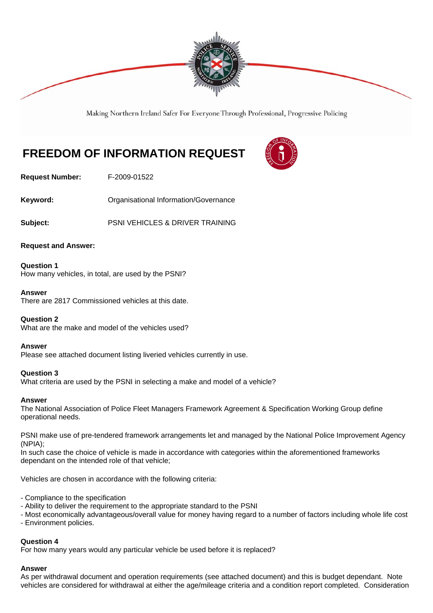

Making Northern Ireland Safer For Everyone Through Professional, Progressive Policing

# **FREEDOM OF INFORMATION REQUEST**



**Request Number:** F-2009-01522

Keyword: **Communistry Communists** Organisational Information/Governance

**Subject:** PSNI VEHICLES & DRIVER TRAINING

**Request and Answer:** 

**Question 1** How many vehicles, in total, are used by the PSNI?

#### **Answer**

There are 2817 Commissioned vehicles at this date.

#### **Question 2**

What are the make and model of the vehicles used?

#### **Answer**

Please see attached document listing liveried vehicles currently in use.

#### **Question 3**

What criteria are used by the PSNI in selecting a make and model of a vehicle?

#### **Answer**

The National Association of Police Fleet Managers Framework Agreement & Specification Working Group define operational needs.

PSNI make use of pre-tendered framework arrangements let and managed by the National Police Improvement Agency (NPIA);

In such case the choice of vehicle is made in accordance with categories within the aforementioned frameworks dependant on the intended role of that vehicle;

Vehicles are chosen in accordance with the following criteria:

- Compliance to the specification
- Ability to deliver the requirement to the appropriate standard to the PSNI
- Most economically advantageous/overall value for money having regard to a number of factors including whole life cost
- Environment policies.

#### **Question 4**

For how many years would any particular vehicle be used before it is replaced?

#### **Answer**

As per withdrawal document and operation requirements (see attached document) and this is budget dependant. Note vehicles are considered for withdrawal at either the age/mileage criteria and a condition report completed. Consideration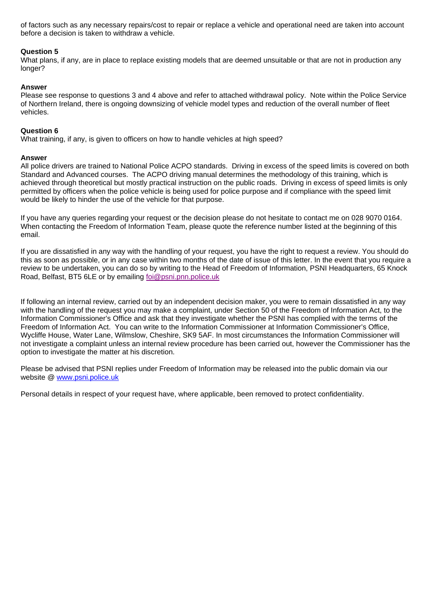of factors such as any necessary repairs/cost to repair or replace a vehicle and operational need are taken into account before a decision is taken to withdraw a vehicle.

#### **Question 5**

What plans, if any, are in place to replace existing models that are deemed unsuitable or that are not in production any longer?

#### **Answer**

Please see response to questions 3 and 4 above and refer to attached withdrawal policy. Note within the Police Service of Northern Ireland, there is ongoing downsizing of vehicle model types and reduction of the overall number of fleet vehicles.

#### **Question 6**

What training, if any, is given to officers on how to handle vehicles at high speed?

#### **Answer**

All police drivers are trained to National Police ACPO standards. Driving in excess of the speed limits is covered on both Standard and Advanced courses. The ACPO driving manual determines the methodology of this training, which is achieved through theoretical but mostly practical instruction on the public roads. Driving in excess of speed limits is only permitted by officers when the police vehicle is being used for police purpose and if compliance with the speed limit would be likely to hinder the use of the vehicle for that purpose.

If you have any queries regarding your request or the decision please do not hesitate to contact me on 028 9070 0164. When contacting the Freedom of Information Team, please quote the reference number listed at the beginning of this email.

If you are dissatisfied in any way with the handling of your request, you have the right to request a review. You should do this as soon as possible, or in any case within two months of the date of issue of this letter. In the event that you require a review to be undertaken, you can do so by writing to the Head of Freedom of Information, PSNI Headquarters, 65 Knock Road, Belfast, BT5 6LE or by emailing foi@psni.pnn.police.uk

If following an internal review, carried out by an independent decision maker, you were to remain dissatisfied in any way with the handling of the request you may make a complaint, under Section 50 of the Freedom of Information Act, to the Information Commissioner's Office and ask that they investigate whether the PSNI has complied with the terms of the Freedom of Information Act. You can write to the Information Commissioner at Information Commissioner's Office, Wycliffe House, Water Lane, Wilmslow, Cheshire, SK9 5AF. In most circumstances the Information Commissioner will not investigate a complaint unless an internal review procedure has been carried out, however the Commissioner has the option to investigate the matter at his discretion.

Please be advised that PSNI replies under Freedom of Information may be released into the public domain via our website @ www.psni.police.uk

Personal details in respect of your request have, where applicable, been removed to protect confidentiality.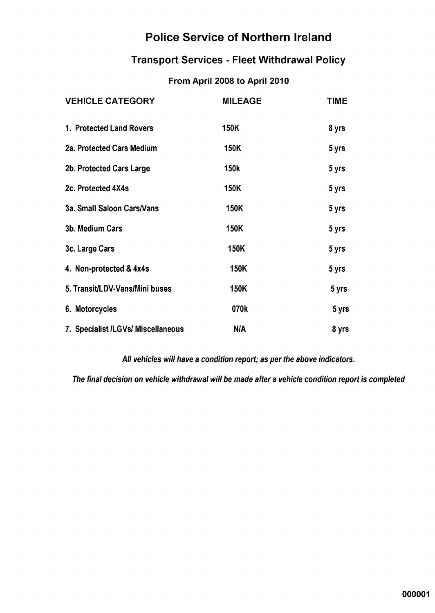## **Police Service of Northern Ireland**

### **Transport Services - Fleet Withdrawal Policy**

### From April 2008 to April 2010

| <b>VEHICLE CATEGORY</b>            | <b>MILEAGE</b> | <b>TIME</b> |
|------------------------------------|----------------|-------------|
| 1. Protected Land Rovers           | 150K           | 8 yrs       |
| 2a. Protected Cars Medium          | 150K           | 5 yrs       |
| 2b. Protected Cars Large           | <b>150k</b>    | 5 yrs       |
| 2c. Protected 4X4s                 | 150K           | 5 yrs       |
| 3a. Small Saloon Cars/Vans         | 150K           | 5 yrs       |
| 3b. Medium Cars                    | 150K           | 5 yrs       |
| 3c. Large Cars                     | <b>150K</b>    | 5 yrs       |
| 4. Non-protected & 4x4s            | 150K           | 5 yrs       |
| 5. Transit/LDV-Vans/Mini buses     | 150K           | 5 yrs       |
| 6. Motorcycles                     | 070k           | 5 yrs       |
| 7. Specialist /LGVs/ Miscellaneous | <b>N/A</b>     | 8 yrs       |

All vehicles will have a condition report; as per the above indicators.

The final decision on vehicle withdrawal will be made after a vehicle condition report is completed